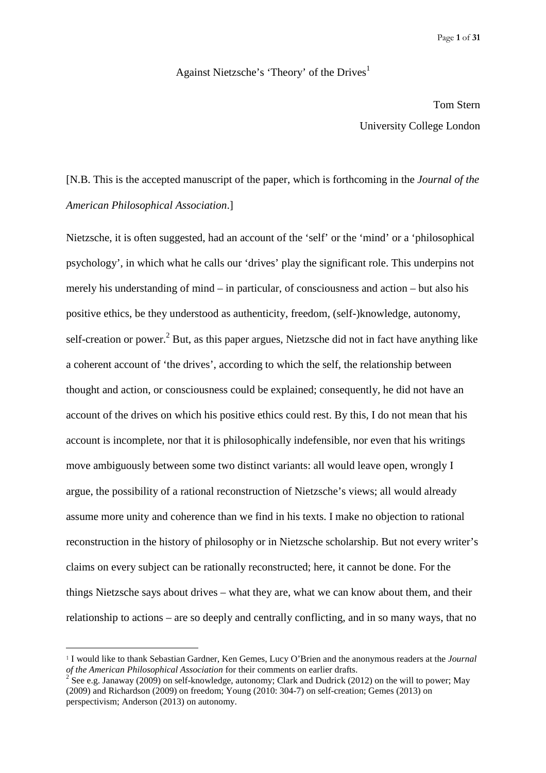# Against Nietzsche's 'Theory' of the Drives<sup>[1](#page-0-0)</sup>

Tom Stern University College London

# [N.B. This is the accepted manuscript of the paper, which is forthcoming in the *Journal of the American Philosophical Association*.]

Nietzsche, it is often suggested, had an account of the 'self' or the 'mind' or a 'philosophical psychology', in which what he calls our 'drives' play the significant role. This underpins not merely his understanding of mind – in particular, of consciousness and action – but also his positive ethics, be they understood as authenticity, freedom, (self-)knowledge, autonomy, self-creation or power.<sup>[2](#page-0-1)</sup> But, as this paper argues, Nietzsche did not in fact have anything like a coherent account of 'the drives', according to which the self, the relationship between thought and action, or consciousness could be explained; consequently, he did not have an account of the drives on which his positive ethics could rest. By this, I do not mean that his account is incomplete, nor that it is philosophically indefensible, nor even that his writings move ambiguously between some two distinct variants: all would leave open, wrongly I argue, the possibility of a rational reconstruction of Nietzsche's views; all would already assume more unity and coherence than we find in his texts. I make no objection to rational reconstruction in the history of philosophy or in Nietzsche scholarship. But not every writer's claims on every subject can be rationally reconstructed; here, it cannot be done. For the things Nietzsche says about drives – what they are, what we can know about them, and their relationship to actions – are so deeply and centrally conflicting, and in so many ways, that no

<span id="page-0-0"></span><sup>1</sup> I would like to thank Sebastian Gardner, Ken Gemes, Lucy O'Brien and the anonymous readers at the *Journal of the American Philosophical Association* for their comments on earlier drafts.<br><sup>2</sup> See e.g. Janeway (2000) on ealt knowledge, autonomy Clark and Dudrigh (20

<span id="page-0-1"></span>See e.g. Janaway (2009) on self-knowledge, autonomy; Clark and Dudrick (2012) on the will to power; May (2009) and Richardson (2009) on freedom; Young (2010: 304-7) on self-creation; Gemes (2013) on perspectivism; Anderson (2013) on autonomy.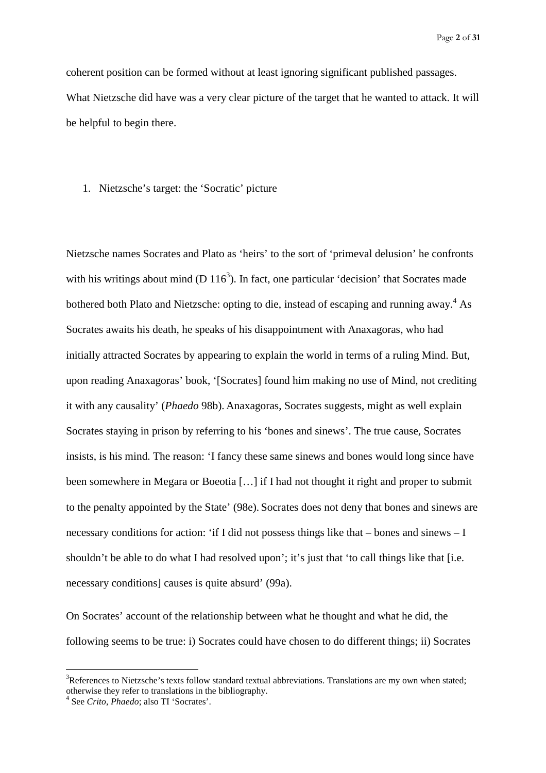coherent position can be formed without at least ignoring significant published passages. What Nietzsche did have was a very clear picture of the target that he wanted to attack. It will be helpful to begin there.

### 1. Nietzsche's target: the 'Socratic' picture

Nietzsche names Socrates and Plato as 'heirs' to the sort of 'primeval delusion' he confronts withhis writings about mind (D  $116<sup>3</sup>$ ). In fact, one particular 'decision' that Socrates made bothered both Plato and Nietzsche: opting to die, instead of escaping and running away.<sup>[4](#page-1-1)</sup> As Socrates awaits his death, he speaks of his disappointment with Anaxagoras, who had initially attracted Socrates by appearing to explain the world in terms of a ruling Mind. But, upon reading Anaxagoras' book, '[Socrates] found him making no use of Mind, not crediting it with any causality' (*Phaedo* 98b). Anaxagoras, Socrates suggests, might as well explain Socrates staying in prison by referring to his 'bones and sinews'. The true cause, Socrates insists, is his mind. The reason: 'I fancy these same sinews and bones would long since have been somewhere in Megara or Boeotia […] if I had not thought it right and proper to submit to the penalty appointed by the State' (98e). Socrates does not deny that bones and sinews are necessary conditions for action: 'if I did not possess things like that – bones and sinews – I shouldn't be able to do what I had resolved upon'; it's just that 'to call things like that [i.e. necessary conditions] causes is quite absurd' (99a).

On Socrates' account of the relationship between what he thought and what he did, the following seems to be true: i) Socrates could have chosen to do different things; ii) Socrates

<span id="page-1-0"></span><sup>&</sup>lt;sup>3</sup>References to Nietzsche's texts follow standard textual abbreviations. Translations are my own when stated; otherwise they refer to translations in the bibliography.

<span id="page-1-1"></span><sup>4</sup> See *Crito*, *Phaedo*; also TI 'Socrates'.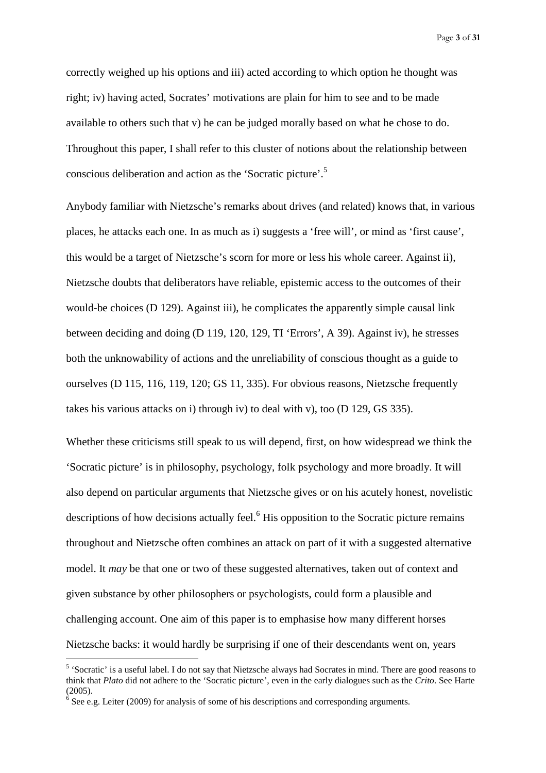Page **3** of **31**

correctly weighed up his options and iii) acted according to which option he thought was right; iv) having acted, Socrates' motivations are plain for him to see and to be made available to others such that v) he can be judged morally based on what he chose to do. Throughout this paper, I shall refer to this cluster of notions about the relationship between conscious deliberation and action as the 'Socratic picture'.[5](#page-2-0)

Anybody familiar with Nietzsche's remarks about drives (and related) knows that, in various places, he attacks each one. In as much as i) suggests a 'free will', or mind as 'first cause', this would be a target of Nietzsche's scorn for more or less his whole career. Against ii), Nietzsche doubts that deliberators have reliable, epistemic access to the outcomes of their would-be choices (D 129). Against iii), he complicates the apparently simple causal link between deciding and doing (D 119, 120, 129, TI 'Errors', A 39). Against iv), he stresses both the unknowability of actions and the unreliability of conscious thought as a guide to ourselves (D 115, 116, 119, 120; GS 11, 335). For obvious reasons, Nietzsche frequently takes his various attacks on i) through iv) to deal with v), too (D 129, GS 335).

Whether these criticisms still speak to us will depend, first, on how widespread we think the 'Socratic picture' is in philosophy, psychology, folk psychology and more broadly. It will also depend on particular arguments that Nietzsche gives or on his acutely honest, novelistic descriptions of how decisions actually feel.<sup>[6](#page-2-1)</sup> His opposition to the Socratic picture remains throughout and Nietzsche often combines an attack on part of it with a suggested alternative model. It *may* be that one or two of these suggested alternatives, taken out of context and given substance by other philosophers or psychologists, could form a plausible and challenging account. One aim of this paper is to emphasise how many different horses Nietzsche backs: it would hardly be surprising if one of their descendants went on, years

<span id="page-2-0"></span><sup>&</sup>lt;sup>5</sup> 'Socratic' is a useful label. I do not say that Nietzsche always had Socrates in mind. There are good reasons to think that *Plato* did not adhere to the 'Socratic picture', even in the early dialogues such as the *Crito*. See Harte (2005).

<span id="page-2-1"></span> $6$  See e.g. Leiter (2009) for analysis of some of his descriptions and corresponding arguments.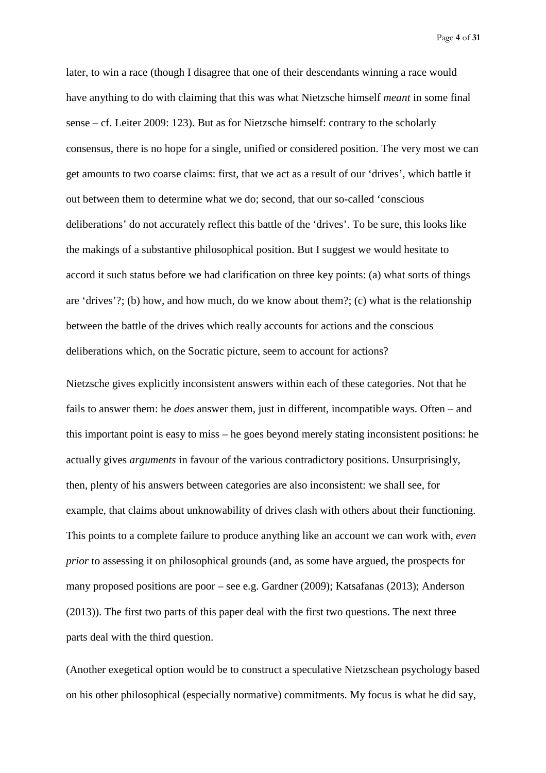Page **4** of **31**

later, to win a race (though I disagree that one of their descendants winning a race would have anything to do with claiming that this was what Nietzsche himself *meant* in some final sense – cf. Leiter 2009: 123). But as for Nietzsche himself: contrary to the scholarly consensus, there is no hope for a single, unified or considered position. The very most we can get amounts to two coarse claims: first, that we act as a result of our 'drives', which battle it out between them to determine what we do; second, that our so-called 'conscious deliberations' do not accurately reflect this battle of the 'drives'. To be sure, this looks like the makings of a substantive philosophical position. But I suggest we would hesitate to accord it such status before we had clarification on three key points: (a) what sorts of things are 'drives'?; (b) how, and how much, do we know about them?; (c) what is the relationship between the battle of the drives which really accounts for actions and the conscious deliberations which, on the Socratic picture, seem to account for actions?

Nietzsche gives explicitly inconsistent answers within each of these categories. Not that he fails to answer them: he *does* answer them, just in different, incompatible ways. Often – and this important point is easy to miss – he goes beyond merely stating inconsistent positions: he actually gives *arguments* in favour of the various contradictory positions. Unsurprisingly, then, plenty of his answers between categories are also inconsistent: we shall see, for example, that claims about unknowability of drives clash with others about their functioning. This points to a complete failure to produce anything like an account we can work with, *even prior* to assessing it on philosophical grounds (and, as some have argued, the prospects for many proposed positions are poor – see e.g. Gardner (2009); Katsafanas (2013); Anderson (2013)). The first two parts of this paper deal with the first two questions. The next three parts deal with the third question.

(Another exegetical option would be to construct a speculative Nietzschean psychology based on his other philosophical (especially normative) commitments. My focus is what he did say,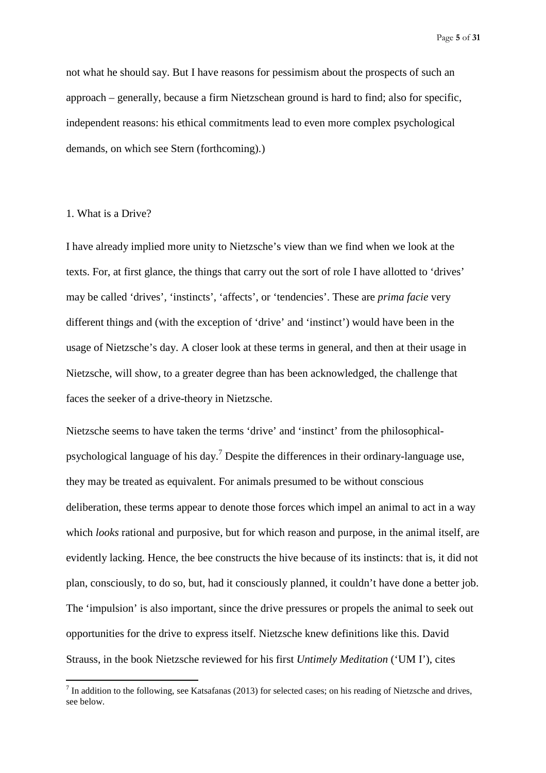Page **5** of **31**

not what he should say. But I have reasons for pessimism about the prospects of such an approach – generally, because a firm Nietzschean ground is hard to find; also for specific, independent reasons: his ethical commitments lead to even more complex psychological demands, on which see Stern (forthcoming).)

#### 1. What is a Drive?

I have already implied more unity to Nietzsche's view than we find when we look at the texts. For, at first glance, the things that carry out the sort of role I have allotted to 'drives' may be called 'drives', 'instincts', 'affects', or 'tendencies'. These are *prima facie* very different things and (with the exception of 'drive' and 'instinct') would have been in the usage of Nietzsche's day. A closer look at these terms in general, and then at their usage in Nietzsche, will show, to a greater degree than has been acknowledged, the challenge that faces the seeker of a drive-theory in Nietzsche.

Nietzsche seems to have taken the terms 'drive' and 'instinct' from the philosophicalpsychologicallanguage of his day.<sup>7</sup> Despite the differences in their ordinary-language use, they may be treated as equivalent. For animals presumed to be without conscious deliberation, these terms appear to denote those forces which impel an animal to act in a way which *looks* rational and purposive, but for which reason and purpose, in the animal itself, are evidently lacking. Hence, the bee constructs the hive because of its instincts: that is, it did not plan, consciously, to do so, but, had it consciously planned, it couldn't have done a better job. The 'impulsion' is also important, since the drive pressures or propels the animal to seek out opportunities for the drive to express itself. Nietzsche knew definitions like this. David Strauss, in the book Nietzsche reviewed for his first *Untimely Meditation* ('UM I'), cites

<span id="page-4-0"></span> $^7$  In addition to the following, see Katsafanas (2013) for selected cases; on his reading of Nietzsche and drives, see below.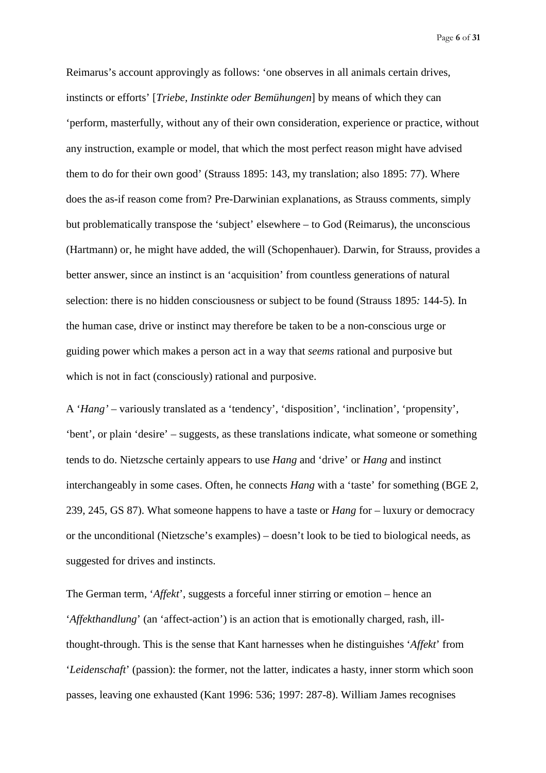Page **6** of **31**

Reimarus's account approvingly as follows: 'one observes in all animals certain drives, instincts or efforts' [*Triebe, Instinkte oder Bemühungen*] by means of which they can 'perform, masterfully, without any of their own consideration, experience or practice, without any instruction, example or model, that which the most perfect reason might have advised them to do for their own good' (Strauss 1895: 143, my translation; also 1895: 77). Where does the as-if reason come from? Pre-Darwinian explanations, as Strauss comments, simply but problematically transpose the 'subject' elsewhere – to God (Reimarus), the unconscious (Hartmann) or, he might have added, the will (Schopenhauer). Darwin, for Strauss, provides a better answer, since an instinct is an 'acquisition' from countless generations of natural selection: there is no hidden consciousness or subject to be found (Strauss 1895*:* 144-5). In the human case, drive or instinct may therefore be taken to be a non-conscious urge or guiding power which makes a person act in a way that *seems* rational and purposive but which is not in fact (consciously) rational and purposive.

A '*Hang'* – variously translated as a 'tendency', 'disposition', 'inclination', 'propensity', 'bent', or plain 'desire' – suggests, as these translations indicate, what someone or something tends to do. Nietzsche certainly appears to use *Hang* and 'drive' or *Hang* and instinct interchangeably in some cases. Often, he connects *Hang* with a 'taste' for something (BGE 2, 239, 245, GS 87). What someone happens to have a taste or *Hang* for – luxury or democracy or the unconditional (Nietzsche's examples) – doesn't look to be tied to biological needs, as suggested for drives and instincts.

The German term, '*Affekt*', suggests a forceful inner stirring or emotion – hence an '*Affekthandlung*' (an 'affect-action') is an action that is emotionally charged, rash, illthought-through. This is the sense that Kant harnesses when he distinguishes '*Affekt*' from '*Leidenschaft*' (passion): the former, not the latter, indicates a hasty, inner storm which soon passes, leaving one exhausted (Kant 1996: 536; 1997: 287-8). William James recognises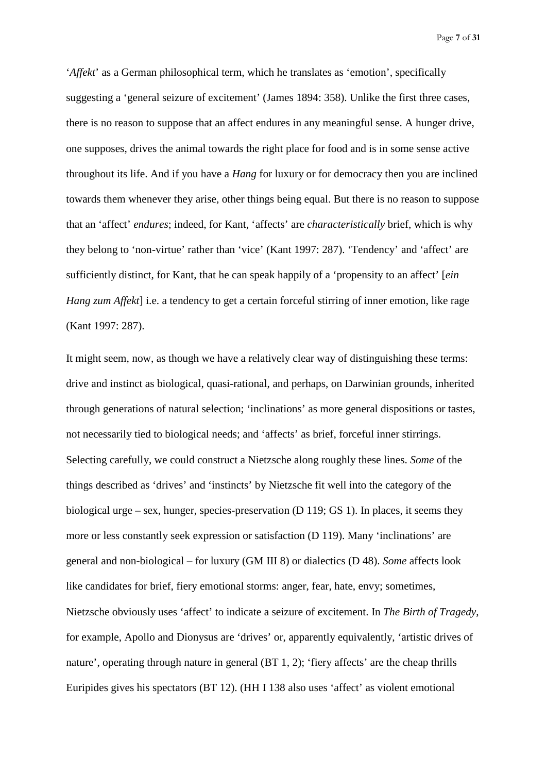Page **7** of **31**

'*Affekt*' as a German philosophical term, which he translates as 'emotion', specifically suggesting a 'general seizure of excitement' (James 1894: 358). Unlike the first three cases, there is no reason to suppose that an affect endures in any meaningful sense. A hunger drive, one supposes, drives the animal towards the right place for food and is in some sense active throughout its life. And if you have a *Hang* for luxury or for democracy then you are inclined towards them whenever they arise, other things being equal. But there is no reason to suppose that an 'affect' *endures*; indeed, for Kant, 'affects' are *characteristically* brief, which is why they belong to 'non-virtue' rather than 'vice' (Kant 1997: 287). 'Tendency' and 'affect' are sufficiently distinct, for Kant, that he can speak happily of a 'propensity to an affect' [*ein Hang zum Affekt*] i.e. a tendency to get a certain forceful stirring of inner emotion, like rage (Kant 1997: 287).

It might seem, now, as though we have a relatively clear way of distinguishing these terms: drive and instinct as biological, quasi-rational, and perhaps, on Darwinian grounds, inherited through generations of natural selection; 'inclinations' as more general dispositions or tastes, not necessarily tied to biological needs; and 'affects' as brief, forceful inner stirrings. Selecting carefully, we could construct a Nietzsche along roughly these lines. *Some* of the things described as 'drives' and 'instincts' by Nietzsche fit well into the category of the biological urge – sex, hunger, species-preservation (D 119; GS 1). In places, it seems they more or less constantly seek expression or satisfaction (D 119). Many 'inclinations' are general and non-biological – for luxury (GM III 8) or dialectics (D 48). *Some* affects look like candidates for brief, fiery emotional storms: anger, fear, hate, envy; sometimes, Nietzsche obviously uses 'affect' to indicate a seizure of excitement. In *The Birth of Tragedy*, for example, Apollo and Dionysus are 'drives' or, apparently equivalently, 'artistic drives of nature', operating through nature in general (BT 1, 2); 'fiery affects' are the cheap thrills Euripides gives his spectators (BT 12). (HH I 138 also uses 'affect' as violent emotional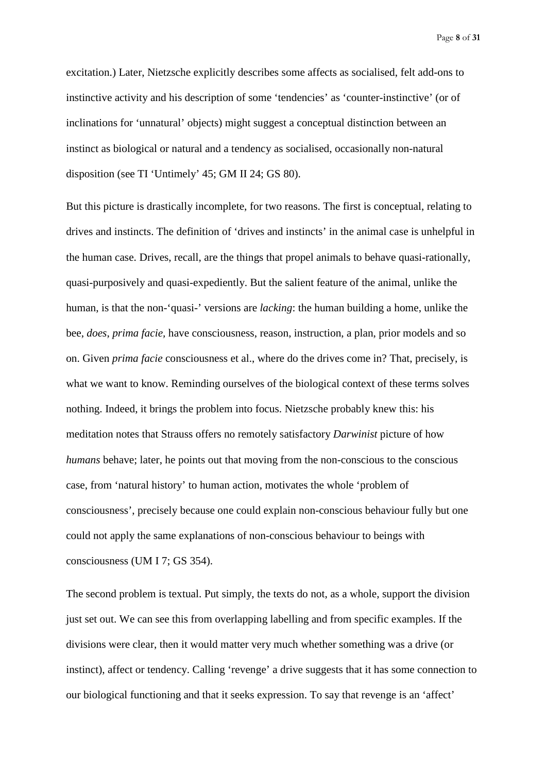Page **8** of **31**

excitation.) Later, Nietzsche explicitly describes some affects as socialised, felt add-ons to instinctive activity and his description of some 'tendencies' as 'counter-instinctive' (or of inclinations for 'unnatural' objects) might suggest a conceptual distinction between an instinct as biological or natural and a tendency as socialised, occasionally non-natural disposition (see TI 'Untimely' 45; GM II 24; GS 80).

But this picture is drastically incomplete, for two reasons. The first is conceptual, relating to drives and instincts. The definition of 'drives and instincts' in the animal case is unhelpful in the human case. Drives, recall, are the things that propel animals to behave quasi-rationally, quasi-purposively and quasi-expediently. But the salient feature of the animal, unlike the human, is that the non-'quasi-' versions are *lacking*: the human building a home, unlike the bee, *does*, *prima facie,* have consciousness, reason, instruction, a plan, prior models and so on. Given *prima facie* consciousness et al., where do the drives come in? That, precisely, is what we want to know. Reminding ourselves of the biological context of these terms solves nothing. Indeed, it brings the problem into focus. Nietzsche probably knew this: his meditation notes that Strauss offers no remotely satisfactory *Darwinist* picture of how *humans* behave; later, he points out that moving from the non-conscious to the conscious case, from 'natural history' to human action, motivates the whole 'problem of consciousness', precisely because one could explain non-conscious behaviour fully but one could not apply the same explanations of non-conscious behaviour to beings with consciousness (UM I 7; GS 354).

The second problem is textual. Put simply, the texts do not, as a whole, support the division just set out. We can see this from overlapping labelling and from specific examples. If the divisions were clear, then it would matter very much whether something was a drive (or instinct), affect or tendency. Calling 'revenge' a drive suggests that it has some connection to our biological functioning and that it seeks expression. To say that revenge is an 'affect'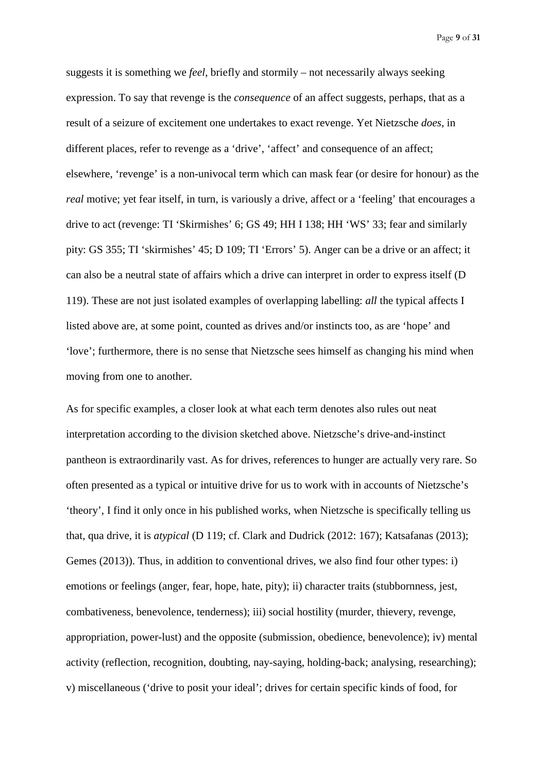Page **9** of **31**

suggests it is something we *feel*, briefly and stormily – not necessarily always seeking expression. To say that revenge is the *consequence* of an affect suggests, perhaps, that as a result of a seizure of excitement one undertakes to exact revenge. Yet Nietzsche *does*, in different places, refer to revenge as a 'drive', 'affect' and consequence of an affect; elsewhere, 'revenge' is a non-univocal term which can mask fear (or desire for honour) as the *real* motive; yet fear itself, in turn, is variously a drive, affect or a 'feeling' that encourages a drive to act (revenge: TI 'Skirmishes' 6; GS 49; HH I 138; HH 'WS' 33; fear and similarly pity: GS 355; TI 'skirmishes' 45; D 109; TI 'Errors' 5). Anger can be a drive or an affect; it can also be a neutral state of affairs which a drive can interpret in order to express itself (D 119). These are not just isolated examples of overlapping labelling: *all* the typical affects I listed above are, at some point, counted as drives and/or instincts too, as are 'hope' and 'love'; furthermore, there is no sense that Nietzsche sees himself as changing his mind when moving from one to another.

As for specific examples, a closer look at what each term denotes also rules out neat interpretation according to the division sketched above. Nietzsche's drive-and-instinct pantheon is extraordinarily vast. As for drives, references to hunger are actually very rare. So often presented as a typical or intuitive drive for us to work with in accounts of Nietzsche's 'theory', I find it only once in his published works, when Nietzsche is specifically telling us that, qua drive, it is *atypical* (D 119; cf. Clark and Dudrick (2012: 167); Katsafanas (2013); Gemes (2013)). Thus, in addition to conventional drives, we also find four other types: i) emotions or feelings (anger, fear, hope, hate, pity); ii) character traits (stubbornness, jest, combativeness, benevolence, tenderness); iii) social hostility (murder, thievery, revenge, appropriation, power-lust) and the opposite (submission, obedience, benevolence); iv) mental activity (reflection, recognition, doubting, nay-saying, holding-back; analysing, researching); v) miscellaneous ('drive to posit your ideal'; drives for certain specific kinds of food, for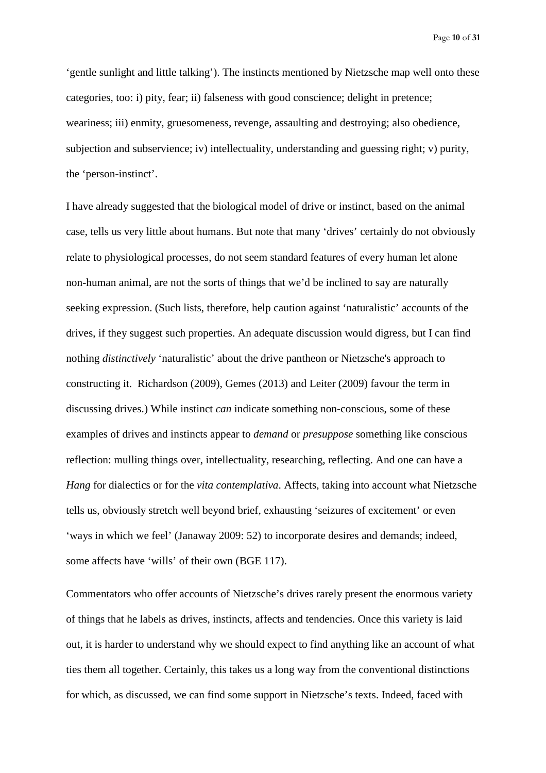Page **10** of **31**

'gentle sunlight and little talking'). The instincts mentioned by Nietzsche map well onto these categories, too: i) pity, fear; ii) falseness with good conscience; delight in pretence; weariness; iii) enmity, gruesomeness, revenge, assaulting and destroying; also obedience, subjection and subservience; iv) intellectuality, understanding and guessing right; v) purity, the 'person-instinct'.

I have already suggested that the biological model of drive or instinct, based on the animal case, tells us very little about humans. But note that many 'drives' certainly do not obviously relate to physiological processes, do not seem standard features of every human let alone non-human animal, are not the sorts of things that we'd be inclined to say are naturally seeking expression. (Such lists, therefore, help caution against 'naturalistic' accounts of the drives, if they suggest such properties. An adequate discussion would digress, but I can find nothing *distinctively* 'naturalistic' about the drive pantheon or Nietzsche's approach to constructing it. Richardson (2009), Gemes (2013) and Leiter (2009) favour the term in discussing drives.) While instinct *can* indicate something non-conscious, some of these examples of drives and instincts appear to *demand* or *presuppose* something like conscious reflection: mulling things over, intellectuality, researching, reflecting. And one can have a *Hang* for dialectics or for the *vita contemplativa*. Affects, taking into account what Nietzsche tells us, obviously stretch well beyond brief, exhausting 'seizures of excitement' or even 'ways in which we feel' (Janaway 2009: 52) to incorporate desires and demands; indeed, some affects have 'wills' of their own (BGE 117).

Commentators who offer accounts of Nietzsche's drives rarely present the enormous variety of things that he labels as drives, instincts, affects and tendencies. Once this variety is laid out, it is harder to understand why we should expect to find anything like an account of what ties them all together. Certainly, this takes us a long way from the conventional distinctions for which, as discussed, we can find some support in Nietzsche's texts. Indeed, faced with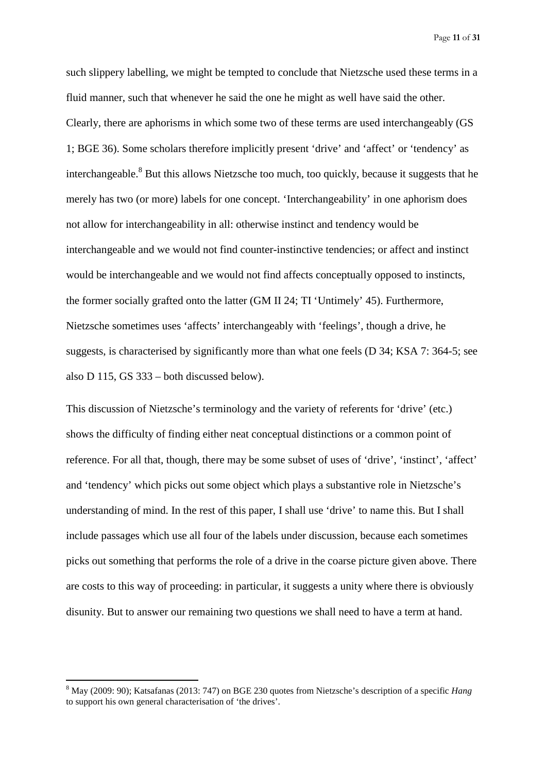Page **11** of **31**

such slippery labelling, we might be tempted to conclude that Nietzsche used these terms in a fluid manner, such that whenever he said the one he might as well have said the other. Clearly, there are aphorisms in which some two of these terms are used interchangeably (GS 1; BGE 36). Some scholars therefore implicitly present 'drive' and 'affect' or 'tendency' as interchangeable.[8](#page-10-0) But this allows Nietzsche too much, too quickly, because it suggests that he merely has two (or more) labels for one concept. 'Interchangeability' in one aphorism does not allow for interchangeability in all: otherwise instinct and tendency would be interchangeable and we would not find counter-instinctive tendencies; or affect and instinct would be interchangeable and we would not find affects conceptually opposed to instincts, the former socially grafted onto the latter (GM II 24; TI 'Untimely' 45). Furthermore, Nietzsche sometimes uses 'affects' interchangeably with 'feelings', though a drive, he suggests, is characterised by significantly more than what one feels (D 34; KSA 7: 364-5; see also D 115, GS 333 – both discussed below).

This discussion of Nietzsche's terminology and the variety of referents for 'drive' (etc.) shows the difficulty of finding either neat conceptual distinctions or a common point of reference. For all that, though, there may be some subset of uses of 'drive', 'instinct', 'affect' and 'tendency' which picks out some object which plays a substantive role in Nietzsche's understanding of mind. In the rest of this paper, I shall use 'drive' to name this. But I shall include passages which use all four of the labels under discussion, because each sometimes picks out something that performs the role of a drive in the coarse picture given above. There are costs to this way of proceeding: in particular, it suggests a unity where there is obviously disunity. But to answer our remaining two questions we shall need to have a term at hand.

<span id="page-10-0"></span><sup>8</sup> May (2009: 90); Katsafanas (2013: 747) on BGE 230 quotes from Nietzsche's description of a specific *Hang* to support his own general characterisation of 'the drives'.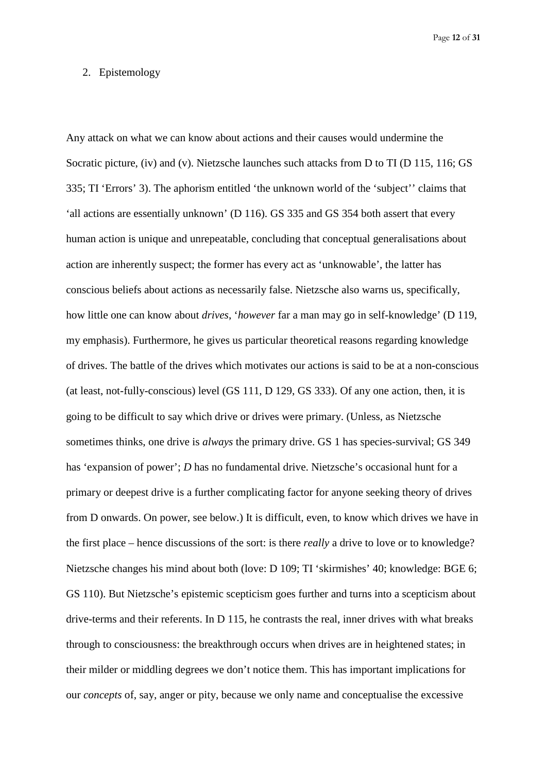Page **12** of **31**

# 2. Epistemology

Any attack on what we can know about actions and their causes would undermine the Socratic picture, (iv) and (v). Nietzsche launches such attacks from D to TI (D 115, 116; GS 335; TI 'Errors' 3). The aphorism entitled 'the unknown world of the 'subject'' claims that 'all actions are essentially unknown' (D 116). GS 335 and GS 354 both assert that every human action is unique and unrepeatable, concluding that conceptual generalisations about action are inherently suspect; the former has every act as 'unknowable', the latter has conscious beliefs about actions as necessarily false. Nietzsche also warns us, specifically, how little one can know about *drives*, '*however* far a man may go in self-knowledge' (D 119, my emphasis). Furthermore, he gives us particular theoretical reasons regarding knowledge of drives. The battle of the drives which motivates our actions is said to be at a non-conscious (at least, not-fully-conscious) level (GS 111, D 129, GS 333). Of any one action, then, it is going to be difficult to say which drive or drives were primary. (Unless, as Nietzsche sometimes thinks, one drive is *always* the primary drive. GS 1 has species-survival; GS 349 has 'expansion of power'; *D* has no fundamental drive. Nietzsche's occasional hunt for a primary or deepest drive is a further complicating factor for anyone seeking theory of drives from D onwards. On power, see below.) It is difficult, even, to know which drives we have in the first place – hence discussions of the sort: is there *really* a drive to love or to knowledge? Nietzsche changes his mind about both (love: D 109; TI 'skirmishes' 40; knowledge: BGE 6; GS 110). But Nietzsche's epistemic scepticism goes further and turns into a scepticism about drive-terms and their referents. In D 115, he contrasts the real, inner drives with what breaks through to consciousness: the breakthrough occurs when drives are in heightened states; in their milder or middling degrees we don't notice them. This has important implications for our *concepts* of, say, anger or pity, because we only name and conceptualise the excessive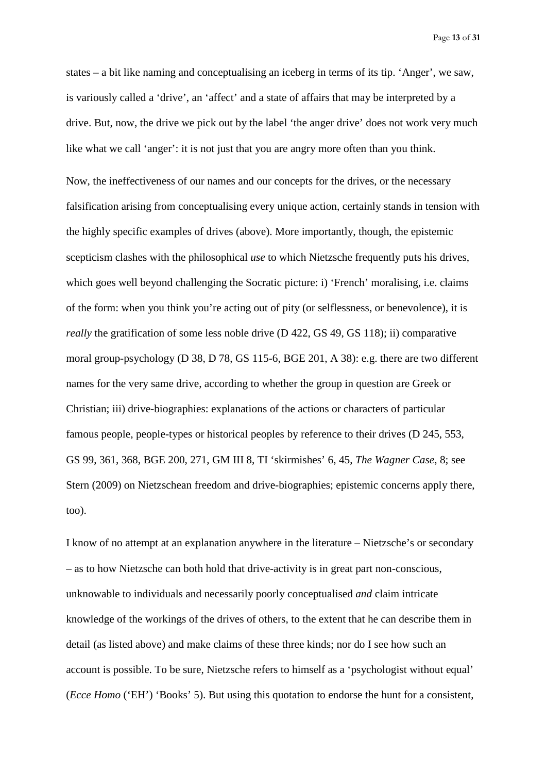Page **13** of **31**

states – a bit like naming and conceptualising an iceberg in terms of its tip. 'Anger', we saw, is variously called a 'drive', an 'affect' and a state of affairs that may be interpreted by a drive. But, now, the drive we pick out by the label 'the anger drive' does not work very much like what we call 'anger': it is not just that you are angry more often than you think.

Now, the ineffectiveness of our names and our concepts for the drives, or the necessary falsification arising from conceptualising every unique action, certainly stands in tension with the highly specific examples of drives (above). More importantly, though, the epistemic scepticism clashes with the philosophical *use* to which Nietzsche frequently puts his drives, which goes well beyond challenging the Socratic picture: i) 'French' moralising, i.e. claims of the form: when you think you're acting out of pity (or selflessness, or benevolence), it is *really* the gratification of some less noble drive (D 422, GS 49, GS 118); ii) comparative moral group-psychology (D 38, D 78, GS 115-6, BGE 201, A 38): e.g. there are two different names for the very same drive, according to whether the group in question are Greek or Christian; iii) drive-biographies: explanations of the actions or characters of particular famous people, people-types or historical peoples by reference to their drives (D 245, 553, GS 99, 361, 368, BGE 200, 271, GM III 8, TI 'skirmishes' 6, 45, *The Wagner Case*, 8; see Stern (2009) on Nietzschean freedom and drive-biographies; epistemic concerns apply there, too).

I know of no attempt at an explanation anywhere in the literature – Nietzsche's or secondary – as to how Nietzsche can both hold that drive-activity is in great part non-conscious, unknowable to individuals and necessarily poorly conceptualised *and* claim intricate knowledge of the workings of the drives of others, to the extent that he can describe them in detail (as listed above) and make claims of these three kinds; nor do I see how such an account is possible. To be sure, Nietzsche refers to himself as a 'psychologist without equal' (*Ecce Homo* ('EH') 'Books' 5). But using this quotation to endorse the hunt for a consistent,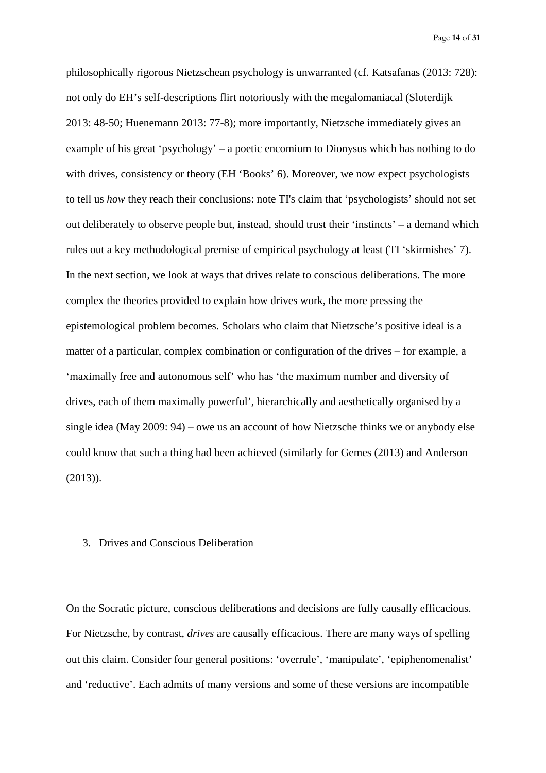philosophically rigorous Nietzschean psychology is unwarranted (cf. Katsafanas (2013: 728): not only do EH's self-descriptions flirt notoriously with the megalomaniacal (Sloterdijk 2013: 48-50; Huenemann 2013: 77-8); more importantly, Nietzsche immediately gives an example of his great 'psychology' – a poetic encomium to Dionysus which has nothing to do with drives, consistency or theory (EH 'Books' 6). Moreover, we now expect psychologists to tell us *how* they reach their conclusions: note TI's claim that 'psychologists' should not set out deliberately to observe people but, instead, should trust their 'instincts' – a demand which rules out a key methodological premise of empirical psychology at least (TI 'skirmishes' 7). In the next section, we look at ways that drives relate to conscious deliberations. The more complex the theories provided to explain how drives work, the more pressing the epistemological problem becomes. Scholars who claim that Nietzsche's positive ideal is a matter of a particular, complex combination or configuration of the drives – for example, a 'maximally free and autonomous self' who has 'the maximum number and diversity of drives, each of them maximally powerful', hierarchically and aesthetically organised by a single idea (May 2009: 94) – owe us an account of how Nietzsche thinks we or anybody else could know that such a thing had been achieved (similarly for Gemes (2013) and Anderson (2013)).

#### 3. Drives and Conscious Deliberation

On the Socratic picture, conscious deliberations and decisions are fully causally efficacious. For Nietzsche, by contrast, *drives* are causally efficacious. There are many ways of spelling out this claim. Consider four general positions: 'overrule', 'manipulate', 'epiphenomenalist' and 'reductive'. Each admits of many versions and some of these versions are incompatible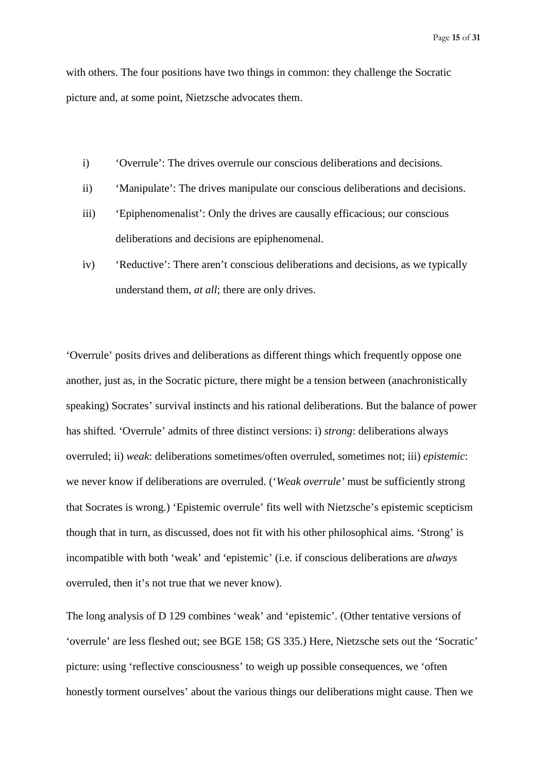with others. The four positions have two things in common: they challenge the Socratic picture and, at some point, Nietzsche advocates them.

- i) 'Overrule': The drives overrule our conscious deliberations and decisions.
- ii) 'Manipulate': The drives manipulate our conscious deliberations and decisions.
- iii) 'Epiphenomenalist': Only the drives are causally efficacious; our conscious deliberations and decisions are epiphenomenal.
- iv) 'Reductive': There aren't conscious deliberations and decisions, as we typically understand them, *at all*; there are only drives.

'Overrule' posits drives and deliberations as different things which frequently oppose one another, just as, in the Socratic picture, there might be a tension between (anachronistically speaking) Socrates' survival instincts and his rational deliberations. But the balance of power has shifted. 'Overrule' admits of three distinct versions: i) *strong*: deliberations always overruled; ii) *weak*: deliberations sometimes/often overruled, sometimes not; iii) *epistemic*: we never know if deliberations are overruled. ('*Weak overrule'* must be sufficiently strong that Socrates is wrong.) 'Epistemic overrule' fits well with Nietzsche's epistemic scepticism though that in turn, as discussed, does not fit with his other philosophical aims. 'Strong' is incompatible with both 'weak' and 'epistemic' (i.e. if conscious deliberations are *always* overruled, then it's not true that we never know).

The long analysis of D 129 combines 'weak' and 'epistemic'. (Other tentative versions of 'overrule' are less fleshed out; see BGE 158; GS 335.) Here, Nietzsche sets out the 'Socratic' picture: using 'reflective consciousness' to weigh up possible consequences, we 'often honestly torment ourselves' about the various things our deliberations might cause. Then we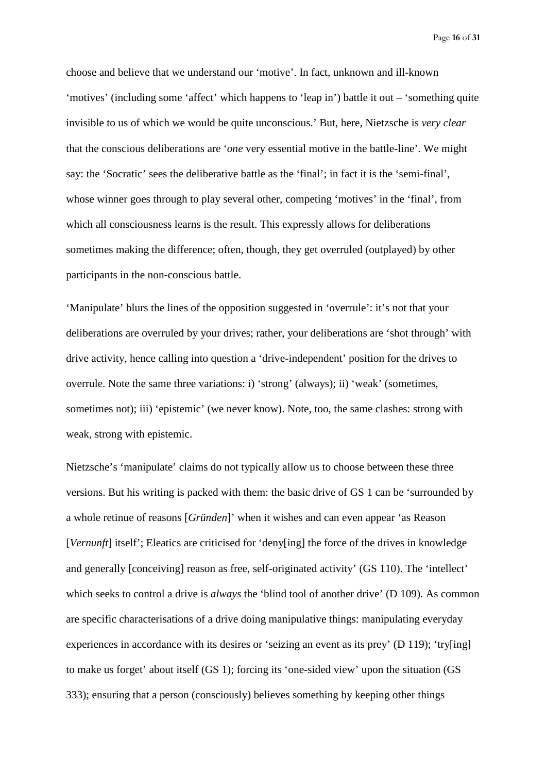Page **16** of **31**

choose and believe that we understand our 'motive'. In fact, unknown and ill-known 'motives' (including some 'affect' which happens to 'leap in') battle it out – 'something quite invisible to us of which we would be quite unconscious.' But, here, Nietzsche is *very clear* that the conscious deliberations are '*one* very essential motive in the battle-line'. We might say: the 'Socratic' sees the deliberative battle as the 'final'; in fact it is the 'semi-final', whose winner goes through to play several other, competing 'motives' in the 'final', from which all consciousness learns is the result. This expressly allows for deliberations sometimes making the difference; often, though, they get overruled (outplayed) by other participants in the non-conscious battle.

'Manipulate' blurs the lines of the opposition suggested in 'overrule': it's not that your deliberations are overruled by your drives; rather, your deliberations are 'shot through' with drive activity, hence calling into question a 'drive-independent' position for the drives to overrule. Note the same three variations: i) 'strong' (always); ii) 'weak' (sometimes, sometimes not); iii) 'epistemic' (we never know). Note, too, the same clashes: strong with weak, strong with epistemic.

Nietzsche's 'manipulate' claims do not typically allow us to choose between these three versions. But his writing is packed with them: the basic drive of GS 1 can be 'surrounded by a whole retinue of reasons [*Gründen*]' when it wishes and can even appear 'as Reason [*Vernunft*] itself'; Eleatics are criticised for 'deny[ing] the force of the drives in knowledge and generally [conceiving] reason as free, self-originated activity' (GS 110). The 'intellect' which seeks to control a drive is *always* the 'blind tool of another drive' (D 109). As common are specific characterisations of a drive doing manipulative things: manipulating everyday experiences in accordance with its desires or 'seizing an event as its prey' (D 119); 'try[ing] to make us forget' about itself (GS 1); forcing its 'one-sided view' upon the situation (GS 333); ensuring that a person (consciously) believes something by keeping other things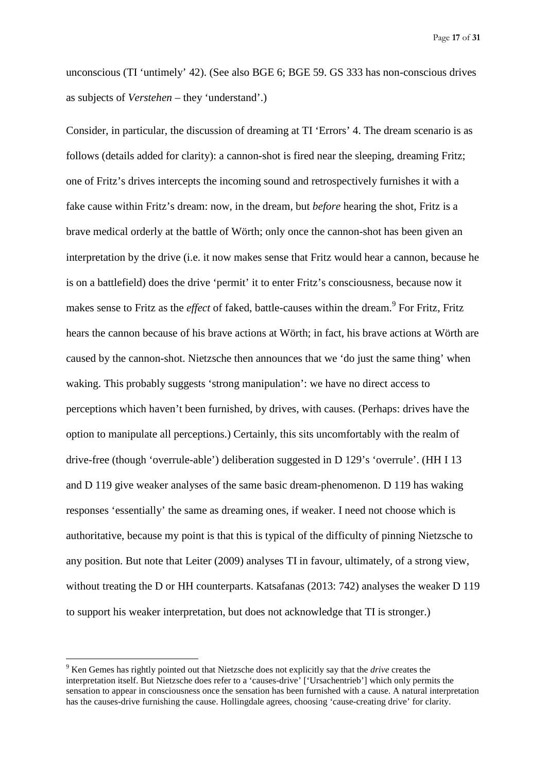Page **17** of **31**

unconscious (TI 'untimely' 42). (See also BGE 6; BGE 59. GS 333 has non-conscious drives as subjects of *Verstehen* – they 'understand'.)

Consider, in particular, the discussion of dreaming at TI 'Errors' 4. The dream scenario is as follows (details added for clarity): a cannon-shot is fired near the sleeping, dreaming Fritz; one of Fritz's drives intercepts the incoming sound and retrospectively furnishes it with a fake cause within Fritz's dream: now, in the dream, but *before* hearing the shot, Fritz is a brave medical orderly at the battle of Wörth; only once the cannon-shot has been given an interpretation by the drive (i.e. it now makes sense that Fritz would hear a cannon, because he is on a battlefield) does the drive 'permit' it to enter Fritz's consciousness, because now it makes sense to Fritz as the *effect* of faked, battle-causes within the dream. <sup>[9](#page-16-0)</sup> For Fritz, Fritz hears the cannon because of his brave actions at Wörth; in fact, his brave actions at Wörth are caused by the cannon-shot. Nietzsche then announces that we 'do just the same thing' when waking. This probably suggests 'strong manipulation': we have no direct access to perceptions which haven't been furnished, by drives, with causes. (Perhaps: drives have the option to manipulate all perceptions.) Certainly, this sits uncomfortably with the realm of drive-free (though 'overrule-able') deliberation suggested in D 129's 'overrule'. (HH I 13 and D 119 give weaker analyses of the same basic dream-phenomenon. D 119 has waking responses 'essentially' the same as dreaming ones, if weaker. I need not choose which is authoritative, because my point is that this is typical of the difficulty of pinning Nietzsche to any position. But note that Leiter (2009) analyses TI in favour, ultimately, of a strong view, without treating the D or HH counterparts. Katsafanas (2013: 742) analyses the weaker D 119 to support his weaker interpretation, but does not acknowledge that TI is stronger.)

<span id="page-16-0"></span><sup>9</sup> Ken Gemes has rightly pointed out that Nietzsche does not explicitly say that the *drive* creates the interpretation itself. But Nietzsche does refer to a 'causes-drive' ['Ursachentrieb'] which only permits the sensation to appear in consciousness once the sensation has been furnished with a cause. A natural interpretation has the causes-drive furnishing the cause. Hollingdale agrees, choosing 'cause-creating drive' for clarity.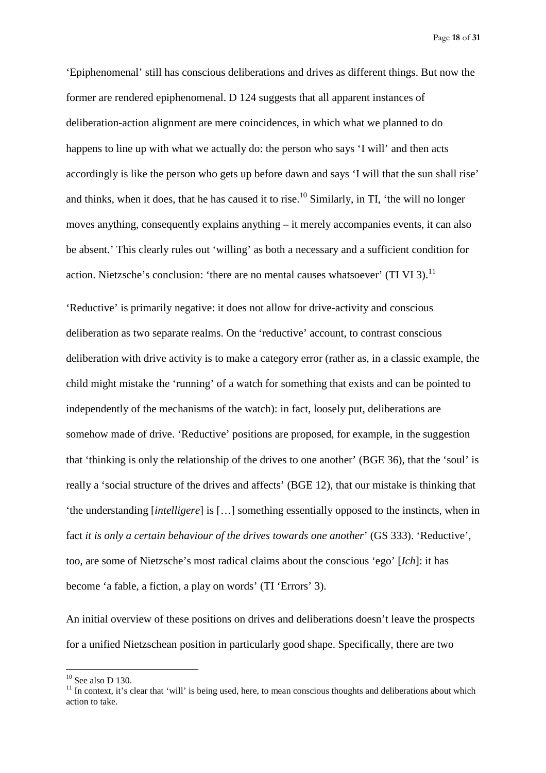Page **18** of **31**

'Epiphenomenal' still has conscious deliberations and drives as different things. But now the former are rendered epiphenomenal. D 124 suggests that all apparent instances of deliberation-action alignment are mere coincidences, in which what we planned to do happens to line up with what we actually do: the person who says 'I will' and then acts accordingly is like the person who gets up before dawn and says 'I will that the sun shall rise' andthinks, when it does, that he has caused it to rise[.](#page-17-0)<sup>10</sup> Similarly, in TI, 'the will no longer moves anything, consequently explains anything – it merely accompanies events, it can also be absent.' This clearly rules out 'willing' as both a necessary and a sufficient condition for action.Nietzsche's conclusion: 'there are no mental causes whatsoever' (TI VI 3)[.](#page-17-1) $^{11}$ 

'Reductive' is primarily negative: it does not allow for drive-activity and conscious deliberation as two separate realms. On the 'reductive' account, to contrast conscious deliberation with drive activity is to make a category error (rather as, in a classic example, the child might mistake the 'running' of a watch for something that exists and can be pointed to independently of the mechanisms of the watch): in fact, loosely put, deliberations are somehow made of drive. 'Reductive' positions are proposed, for example, in the suggestion that 'thinking is only the relationship of the drives to one another' (BGE 36), that the 'soul' is really a 'social structure of the drives and affects' (BGE 12), that our mistake is thinking that 'the understanding [*intelligere*] is […] something essentially opposed to the instincts, when in fact *it is only a certain behaviour of the drives towards one another*' (GS 333). 'Reductive', too, are some of Nietzsche's most radical claims about the conscious 'ego' [*Ich*]: it has become 'a fable, a fiction, a play on words' (TI 'Errors' 3).

An initial overview of these positions on drives and deliberations doesn't leave the prospects for a unified Nietzschean position in particularly good shape. Specifically, there are two

<span id="page-17-1"></span><span id="page-17-0"></span> $10$  See also D 130.

<sup>&</sup>lt;sup>11</sup> In context, it's clear that 'will' is being used, here, to mean conscious thoughts and deliberations about which action to take.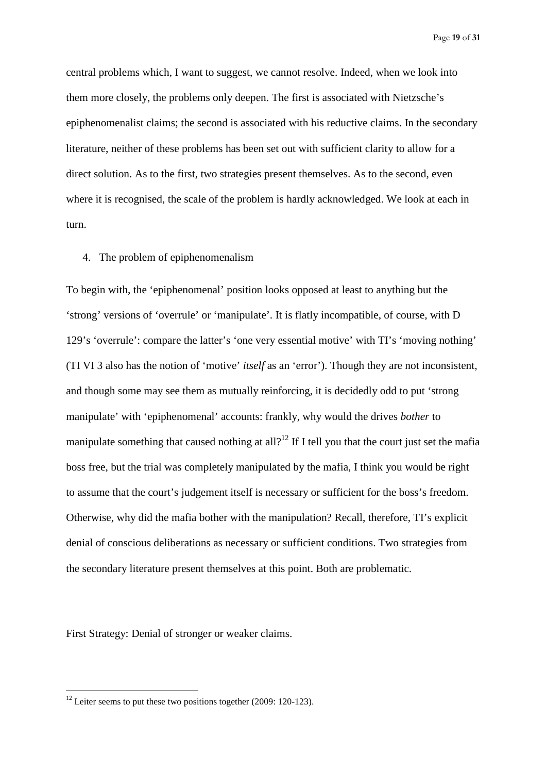Page **19** of **31**

central problems which, I want to suggest, we cannot resolve. Indeed, when we look into them more closely, the problems only deepen. The first is associated with Nietzsche's epiphenomenalist claims; the second is associated with his reductive claims. In the secondary literature, neither of these problems has been set out with sufficient clarity to allow for a direct solution. As to the first, two strategies present themselves. As to the second, even where it is recognised, the scale of the problem is hardly acknowledged. We look at each in turn.

# 4. The problem of epiphenomenalism

To begin with, the 'epiphenomenal' position looks opposed at least to anything but the 'strong' versions of 'overrule' or 'manipulate'. It is flatly incompatible, of course, with D 129's 'overrule': compare the latter's 'one very essential motive' with TI's 'moving nothing' (TI VI 3 also has the notion of 'motive' *itself* as an 'error'). Though they are not inconsistent, and though some may see them as mutually reinforcing, it is decidedly odd to put 'strong manipulate' with 'epiphenomenal' accounts: frankly, why would the drives *bother* to manipulatesomething that caused nothing at all[?](#page-18-0)<sup>12</sup> If I tell you that the court just set the mafia boss free, but the trial was completely manipulated by the mafia, I think you would be right to assume that the court's judgement itself is necessary or sufficient for the boss's freedom. Otherwise, why did the mafia bother with the manipulation? Recall, therefore, TI's explicit denial of conscious deliberations as necessary or sufficient conditions. Two strategies from the secondary literature present themselves at this point. Both are problematic.

First Strategy: Denial of stronger or weaker claims.

<span id="page-18-0"></span> $12$  Leiter seems to put these two positions together (2009: 120-123).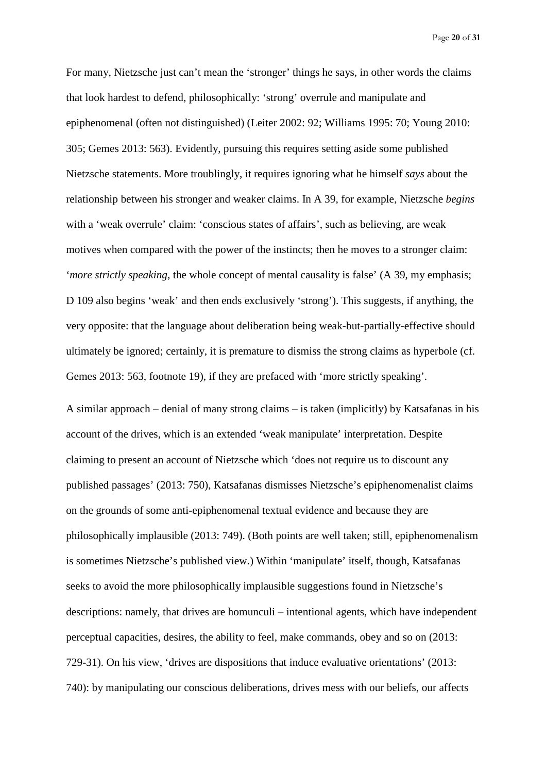Page **20** of **31**

For many, Nietzsche just can't mean the 'stronger' things he says, in other words the claims that look hardest to defend, philosophically: 'strong' overrule and manipulate and epiphenomenal (often not distinguished) (Leiter 2002: 92; Williams 1995: 70; Young 2010: 305; Gemes 2013: 563). Evidently, pursuing this requires setting aside some published Nietzsche statements. More troublingly, it requires ignoring what he himself *says* about the relationship between his stronger and weaker claims. In A 39, for example, Nietzsche *begins* with a 'weak overrule' claim: 'conscious states of affairs', such as believing, are weak motives when compared with the power of the instincts; then he moves to a stronger claim: *'more strictly speaking*, the whole concept of mental causality is false' (A 39, my emphasis; D 109 also begins 'weak' and then ends exclusively 'strong'). This suggests, if anything, the very opposite: that the language about deliberation being weak-but-partially-effective should ultimately be ignored; certainly, it is premature to dismiss the strong claims as hyperbole (cf. Gemes 2013: 563, footnote 19), if they are prefaced with 'more strictly speaking'.

A similar approach – denial of many strong claims – is taken (implicitly) by Katsafanas in his account of the drives, which is an extended 'weak manipulate' interpretation. Despite claiming to present an account of Nietzsche which 'does not require us to discount any published passages' (2013: 750), Katsafanas dismisses Nietzsche's epiphenomenalist claims on the grounds of some anti-epiphenomenal textual evidence and because they are philosophically implausible (2013: 749). (Both points are well taken; still, epiphenomenalism is sometimes Nietzsche's published view.) Within 'manipulate' itself, though, Katsafanas seeks to avoid the more philosophically implausible suggestions found in Nietzsche's descriptions: namely, that drives are homunculi – intentional agents, which have independent perceptual capacities, desires, the ability to feel, make commands, obey and so on (2013: 729-31). On his view, 'drives are dispositions that induce evaluative orientations' (2013: 740): by manipulating our conscious deliberations, drives mess with our beliefs, our affects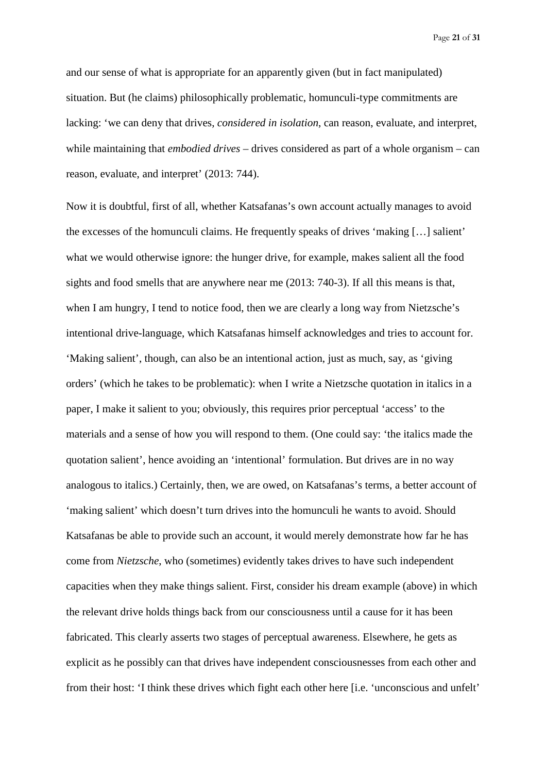Page **21** of **31**

and our sense of what is appropriate for an apparently given (but in fact manipulated) situation. But (he claims) philosophically problematic, homunculi-type commitments are lacking: 'we can deny that drives, *considered in isolation*, can reason, evaluate, and interpret, while maintaining that *embodied drives* – drives considered as part of a whole organism – can reason, evaluate, and interpret' (2013: 744).

Now it is doubtful, first of all, whether Katsafanas's own account actually manages to avoid the excesses of the homunculi claims. He frequently speaks of drives 'making […] salient' what we would otherwise ignore: the hunger drive, for example, makes salient all the food sights and food smells that are anywhere near me (2013: 740-3). If all this means is that, when I am hungry, I tend to notice food, then we are clearly a long way from Nietzsche's intentional drive-language, which Katsafanas himself acknowledges and tries to account for. 'Making salient', though, can also be an intentional action, just as much, say, as 'giving orders' (which he takes to be problematic): when I write a Nietzsche quotation in italics in a paper, I make it salient to you; obviously, this requires prior perceptual 'access' to the materials and a sense of how you will respond to them. (One could say: 'the italics made the quotation salient', hence avoiding an 'intentional' formulation. But drives are in no way analogous to italics.) Certainly, then, we are owed, on Katsafanas's terms, a better account of 'making salient' which doesn't turn drives into the homunculi he wants to avoid. Should Katsafanas be able to provide such an account, it would merely demonstrate how far he has come from *Nietzsche*, who (sometimes) evidently takes drives to have such independent capacities when they make things salient. First, consider his dream example (above) in which the relevant drive holds things back from our consciousness until a cause for it has been fabricated. This clearly asserts two stages of perceptual awareness. Elsewhere, he gets as explicit as he possibly can that drives have independent consciousnesses from each other and from their host: 'I think these drives which fight each other here [i.e. 'unconscious and unfelt'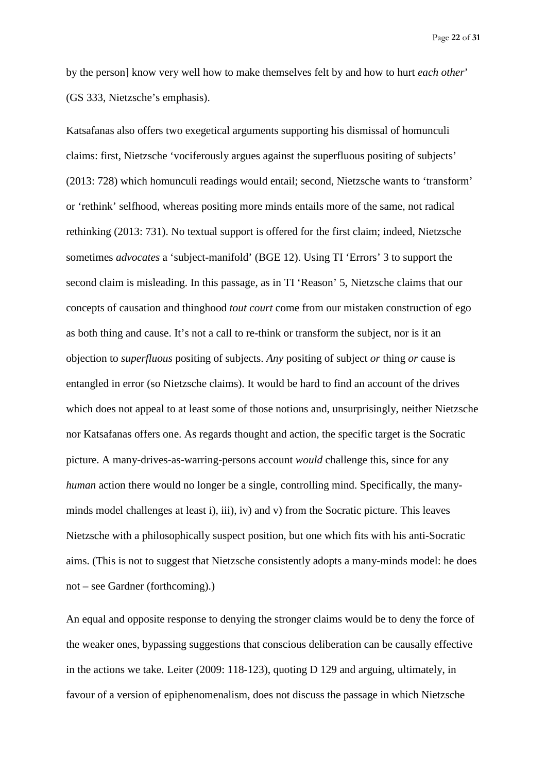Page **22** of **31**

by the person] know very well how to make themselves felt by and how to hurt *each other*' (GS 333, Nietzsche's emphasis).

Katsafanas also offers two exegetical arguments supporting his dismissal of homunculi claims: first, Nietzsche 'vociferously argues against the superfluous positing of subjects' (2013: 728) which homunculi readings would entail; second, Nietzsche wants to 'transform' or 'rethink' selfhood, whereas positing more minds entails more of the same, not radical rethinking (2013: 731). No textual support is offered for the first claim; indeed, Nietzsche sometimes *advocates* a 'subject-manifold' (BGE 12). Using TI 'Errors' 3 to support the second claim is misleading. In this passage, as in TI 'Reason' 5, Nietzsche claims that our concepts of causation and thinghood *tout court* come from our mistaken construction of ego as both thing and cause. It's not a call to re-think or transform the subject, nor is it an objection to *superfluous* positing of subjects. *Any* positing of subject *or* thing *or* cause is entangled in error (so Nietzsche claims). It would be hard to find an account of the drives which does not appeal to at least some of those notions and, unsurprisingly, neither Nietzsche nor Katsafanas offers one. As regards thought and action, the specific target is the Socratic picture. A many-drives-as-warring-persons account *would* challenge this, since for any *human* action there would no longer be a single, controlling mind. Specifically, the manyminds model challenges at least i), iii), iv) and v) from the Socratic picture. This leaves Nietzsche with a philosophically suspect position, but one which fits with his anti-Socratic aims. (This is not to suggest that Nietzsche consistently adopts a many-minds model: he does not – see Gardner (forthcoming).)

An equal and opposite response to denying the stronger claims would be to deny the force of the weaker ones, bypassing suggestions that conscious deliberation can be causally effective in the actions we take. Leiter (2009: 118-123), quoting D 129 and arguing, ultimately, in favour of a version of epiphenomenalism, does not discuss the passage in which Nietzsche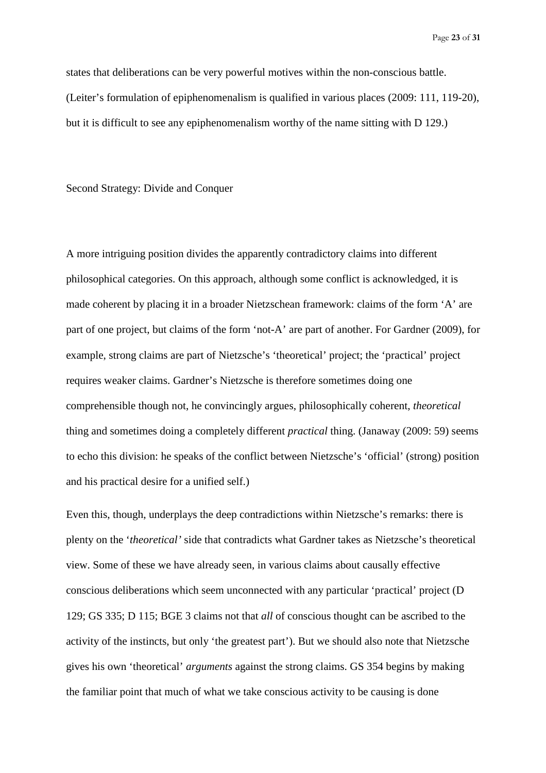states that deliberations can be very powerful motives within the non-conscious battle. (Leiter's formulation of epiphenomenalism is qualified in various places (2009: 111, 119-20), but it is difficult to see any epiphenomenalism worthy of the name sitting with D 129.)

#### Second Strategy: Divide and Conquer

A more intriguing position divides the apparently contradictory claims into different philosophical categories. On this approach, although some conflict is acknowledged, it is made coherent by placing it in a broader Nietzschean framework: claims of the form 'A' are part of one project, but claims of the form 'not-A' are part of another. For Gardner (2009), for example, strong claims are part of Nietzsche's 'theoretical' project; the 'practical' project requires weaker claims. Gardner's Nietzsche is therefore sometimes doing one comprehensible though not, he convincingly argues, philosophically coherent, *theoretical* thing and sometimes doing a completely different *practical* thing. (Janaway (2009: 59) seems to echo this division: he speaks of the conflict between Nietzsche's 'official' (strong) position and his practical desire for a unified self.)

Even this, though, underplays the deep contradictions within Nietzsche's remarks: there is plenty on the '*theoretical'* side that contradicts what Gardner takes as Nietzsche's theoretical view. Some of these we have already seen, in various claims about causally effective conscious deliberations which seem unconnected with any particular 'practical' project (D 129; GS 335; D 115; BGE 3 claims not that *all* of conscious thought can be ascribed to the activity of the instincts, but only 'the greatest part'). But we should also note that Nietzsche gives his own 'theoretical' *arguments* against the strong claims. GS 354 begins by making the familiar point that much of what we take conscious activity to be causing is done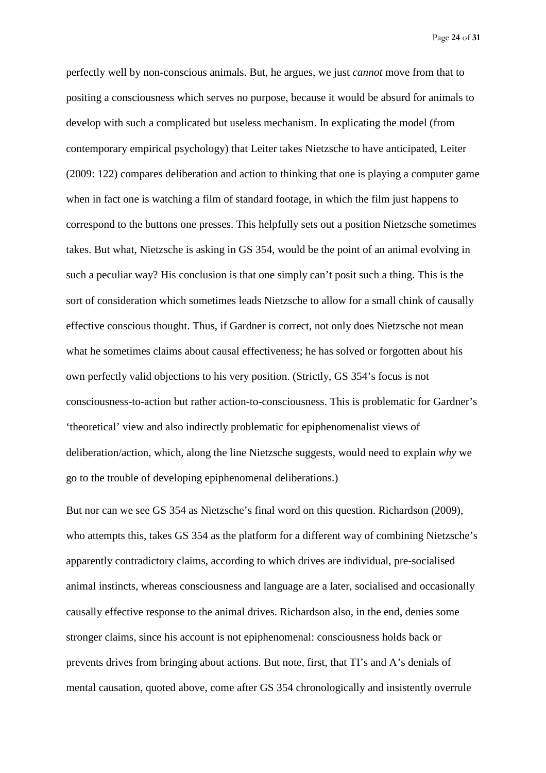Page **24** of **31**

perfectly well by non-conscious animals. But, he argues, we just *cannot* move from that to positing a consciousness which serves no purpose, because it would be absurd for animals to develop with such a complicated but useless mechanism. In explicating the model (from contemporary empirical psychology) that Leiter takes Nietzsche to have anticipated, Leiter (2009: 122) compares deliberation and action to thinking that one is playing a computer game when in fact one is watching a film of standard footage, in which the film just happens to correspond to the buttons one presses. This helpfully sets out a position Nietzsche sometimes takes. But what, Nietzsche is asking in GS 354, would be the point of an animal evolving in such a peculiar way? His conclusion is that one simply can't posit such a thing. This is the sort of consideration which sometimes leads Nietzsche to allow for a small chink of causally effective conscious thought. Thus, if Gardner is correct, not only does Nietzsche not mean what he sometimes claims about causal effectiveness; he has solved or forgotten about his own perfectly valid objections to his very position. (Strictly, GS 354's focus is not consciousness-to-action but rather action-to-consciousness. This is problematic for Gardner's 'theoretical' view and also indirectly problematic for epiphenomenalist views of deliberation/action, which, along the line Nietzsche suggests, would need to explain *why* we go to the trouble of developing epiphenomenal deliberations.)

But nor can we see GS 354 as Nietzsche's final word on this question. Richardson (2009), who attempts this, takes GS 354 as the platform for a different way of combining Nietzsche's apparently contradictory claims, according to which drives are individual, pre-socialised animal instincts, whereas consciousness and language are a later, socialised and occasionally causally effective response to the animal drives. Richardson also, in the end, denies some stronger claims, since his account is not epiphenomenal: consciousness holds back or prevents drives from bringing about actions. But note, first, that TI's and A's denials of mental causation, quoted above, come after GS 354 chronologically and insistently overrule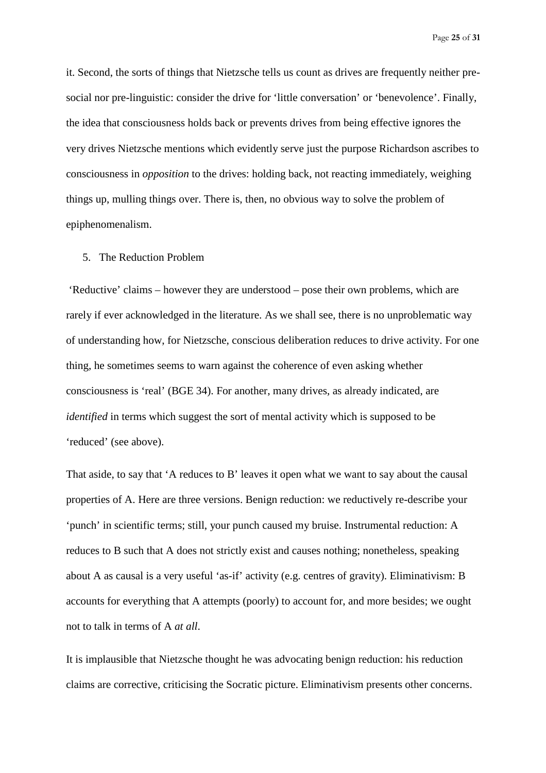Page **25** of **31**

it. Second, the sorts of things that Nietzsche tells us count as drives are frequently neither presocial nor pre-linguistic: consider the drive for 'little conversation' or 'benevolence'. Finally, the idea that consciousness holds back or prevents drives from being effective ignores the very drives Nietzsche mentions which evidently serve just the purpose Richardson ascribes to consciousness in *opposition* to the drives: holding back, not reacting immediately, weighing things up, mulling things over. There is, then, no obvious way to solve the problem of epiphenomenalism.

# 5. The Reduction Problem

'Reductive' claims – however they are understood – pose their own problems, which are rarely if ever acknowledged in the literature. As we shall see, there is no unproblematic way of understanding how, for Nietzsche, conscious deliberation reduces to drive activity. For one thing, he sometimes seems to warn against the coherence of even asking whether consciousness is 'real' (BGE 34). For another, many drives, as already indicated, are *identified* in terms which suggest the sort of mental activity which is supposed to be 'reduced' (see above).

That aside, to say that 'A reduces to B' leaves it open what we want to say about the causal properties of A. Here are three versions. Benign reduction: we reductively re-describe your 'punch' in scientific terms; still, your punch caused my bruise. Instrumental reduction: A reduces to B such that A does not strictly exist and causes nothing; nonetheless, speaking about A as causal is a very useful 'as-if' activity (e.g. centres of gravity). Eliminativism: B accounts for everything that A attempts (poorly) to account for, and more besides; we ought not to talk in terms of A *at all*.

It is implausible that Nietzsche thought he was advocating benign reduction: his reduction claims are corrective, criticising the Socratic picture. Eliminativism presents other concerns.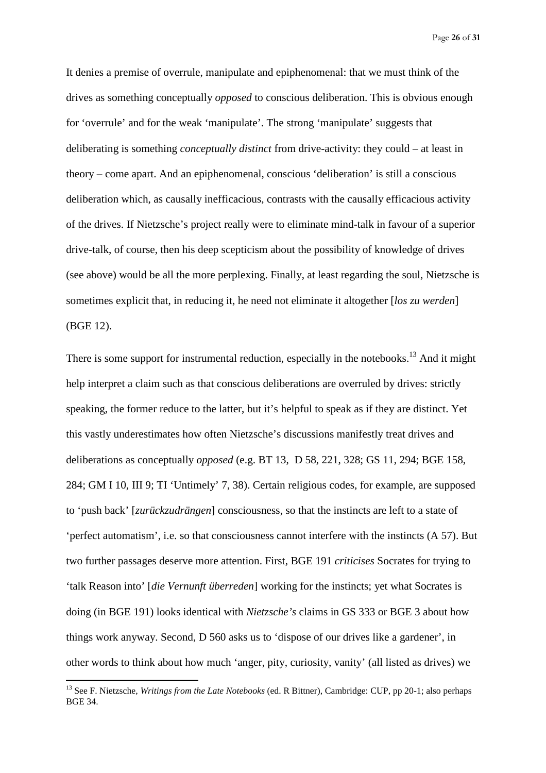Page **26** of **31**

It denies a premise of overrule, manipulate and epiphenomenal: that we must think of the drives as something conceptually *opposed* to conscious deliberation. This is obvious enough for 'overrule' and for the weak 'manipulate'. The strong 'manipulate' suggests that deliberating is something *conceptually distinct* from drive-activity: they could – at least in theory – come apart. And an epiphenomenal, conscious 'deliberation' is still a conscious deliberation which, as causally inefficacious, contrasts with the causally efficacious activity of the drives. If Nietzsche's project really were to eliminate mind-talk in favour of a superior drive-talk, of course, then his deep scepticism about the possibility of knowledge of drives (see above) would be all the more perplexing. Finally, at least regarding the soul, Nietzsche is sometimes explicit that, in reducing it, he need not eliminate it altogether [*los zu werden*] (BGE 12).

There is some support for instrumental reduction, especially in the notebooks.<sup>[13](#page-25-0)</sup> And it might help interpret a claim such as that conscious deliberations are overruled by drives: strictly speaking, the former reduce to the latter, but it's helpful to speak as if they are distinct. Yet this vastly underestimates how often Nietzsche's discussions manifestly treat drives and deliberations as conceptually *opposed* (e.g. BT 13, D 58, 221, 328; GS 11, 294; BGE 158, 284; GM I 10, III 9; TI 'Untimely' 7, 38). Certain religious codes, for example, are supposed to 'push back' [*zurückzudrängen*] consciousness, so that the instincts are left to a state of 'perfect automatism', i.e. so that consciousness cannot interfere with the instincts (A 57). But two further passages deserve more attention. First, BGE 191 *criticises* Socrates for trying to 'talk Reason into' [*die Vernunft überreden*] working for the instincts; yet what Socrates is doing (in BGE 191) looks identical with *Nietzsche's* claims in GS 333 or BGE 3 about how things work anyway. Second, D 560 asks us to 'dispose of our drives like a gardener', in other words to think about how much 'anger, pity, curiosity, vanity' (all listed as drives) we

<span id="page-25-0"></span><sup>13</sup> See F. Nietzsche, *Writings from the Late Notebooks* (ed. R Bittner), Cambridge: CUP, pp 20-1; also perhaps BGE 34.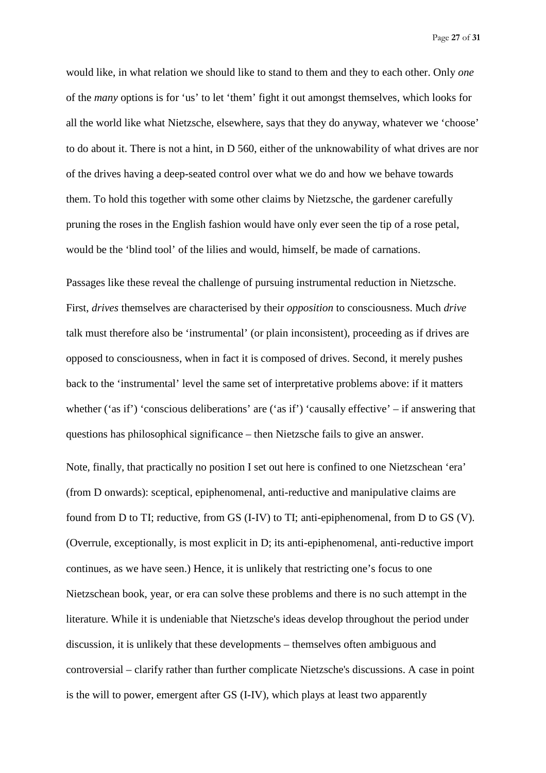Page **27** of **31**

would like, in what relation we should like to stand to them and they to each other. Only *one* of the *many* options is for 'us' to let 'them' fight it out amongst themselves, which looks for all the world like what Nietzsche, elsewhere, says that they do anyway, whatever we 'choose' to do about it. There is not a hint, in D 560, either of the unknowability of what drives are nor of the drives having a deep-seated control over what we do and how we behave towards them. To hold this together with some other claims by Nietzsche, the gardener carefully pruning the roses in the English fashion would have only ever seen the tip of a rose petal, would be the 'blind tool' of the lilies and would, himself, be made of carnations.

Passages like these reveal the challenge of pursuing instrumental reduction in Nietzsche. First, *drives* themselves are characterised by their *opposition* to consciousness. Much *drive* talk must therefore also be 'instrumental' (or plain inconsistent), proceeding as if drives are opposed to consciousness, when in fact it is composed of drives. Second, it merely pushes back to the 'instrumental' level the same set of interpretative problems above: if it matters whether ('as if') 'conscious deliberations' are ('as if') 'causally effective' – if answering that questions has philosophical significance – then Nietzsche fails to give an answer.

Note, finally, that practically no position I set out here is confined to one Nietzschean 'era' (from D onwards): sceptical, epiphenomenal, anti-reductive and manipulative claims are found from D to TI; reductive, from GS (I-IV) to TI; anti-epiphenomenal, from D to GS (V). (Overrule, exceptionally, is most explicit in D; its anti-epiphenomenal, anti-reductive import continues, as we have seen.) Hence, it is unlikely that restricting one's focus to one Nietzschean book, year, or era can solve these problems and there is no such attempt in the literature. While it is undeniable that Nietzsche's ideas develop throughout the period under discussion, it is unlikely that these developments – themselves often ambiguous and controversial – clarify rather than further complicate Nietzsche's discussions. A case in point is the will to power, emergent after GS (I-IV), which plays at least two apparently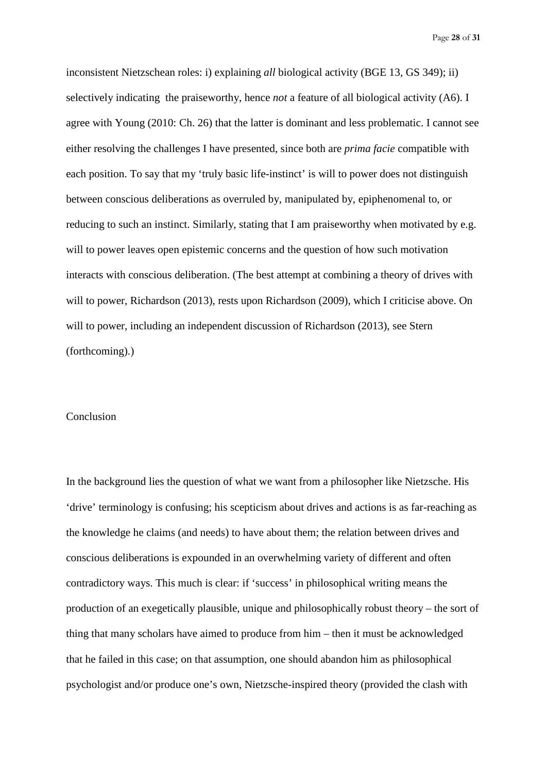inconsistent Nietzschean roles: i) explaining *all* biological activity (BGE 13, GS 349); ii) selectively indicating the praiseworthy, hence *not* a feature of all biological activity (A6). I agree with Young (2010: Ch. 26) that the latter is dominant and less problematic. I cannot see either resolving the challenges I have presented, since both are *prima facie* compatible with each position. To say that my 'truly basic life-instinct' is will to power does not distinguish between conscious deliberations as overruled by, manipulated by, epiphenomenal to, or reducing to such an instinct. Similarly, stating that I am praiseworthy when motivated by e.g. will to power leaves open epistemic concerns and the question of how such motivation interacts with conscious deliberation. (The best attempt at combining a theory of drives with will to power, Richardson (2013), rests upon Richardson (2009), which I criticise above. On will to power, including an independent discussion of Richardson (2013), see Stern (forthcoming).)

## Conclusion

In the background lies the question of what we want from a philosopher like Nietzsche. His 'drive' terminology is confusing; his scepticism about drives and actions is as far-reaching as the knowledge he claims (and needs) to have about them; the relation between drives and conscious deliberations is expounded in an overwhelming variety of different and often contradictory ways. This much is clear: if 'success' in philosophical writing means the production of an exegetically plausible, unique and philosophically robust theory – the sort of thing that many scholars have aimed to produce from him – then it must be acknowledged that he failed in this case; on that assumption, one should abandon him as philosophical psychologist and/or produce one's own, Nietzsche-inspired theory (provided the clash with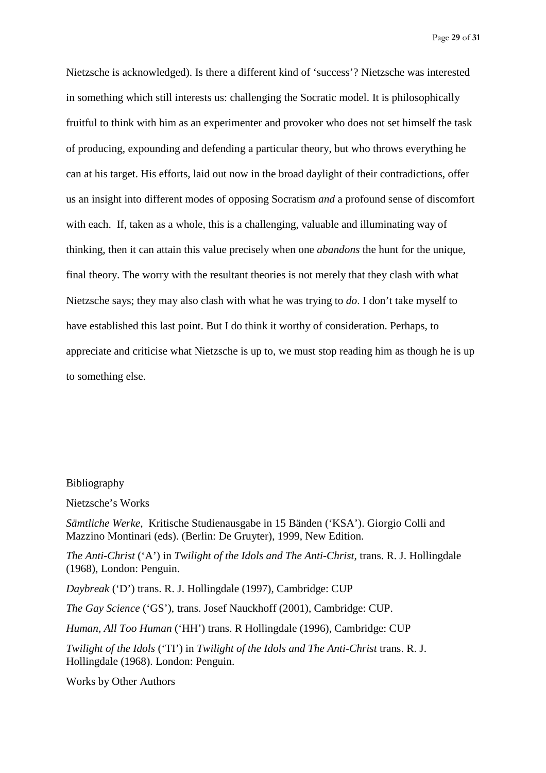Page **29** of **31**

Nietzsche is acknowledged). Is there a different kind of 'success'? Nietzsche was interested in something which still interests us: challenging the Socratic model. It is philosophically fruitful to think with him as an experimenter and provoker who does not set himself the task of producing, expounding and defending a particular theory, but who throws everything he can at his target. His efforts, laid out now in the broad daylight of their contradictions, offer us an insight into different modes of opposing Socratism *and* a profound sense of discomfort with each. If, taken as a whole, this is a challenging, valuable and illuminating way of thinking, then it can attain this value precisely when one *abandons* the hunt for the unique, final theory. The worry with the resultant theories is not merely that they clash with what Nietzsche says; they may also clash with what he was trying to *do*. I don't take myself to have established this last point. But I do think it worthy of consideration. Perhaps, to appreciate and criticise what Nietzsche is up to, we must stop reading him as though he is up to something else.

Bibliography

Nietzsche's Works

*Sämtliche Werke*, Kritische Studienausgabe in 15 Bänden ('KSA'). Giorgio Colli and Mazzino Montinari (eds). (Berlin: De Gruyter), 1999, New Edition.

*The Anti-Christ* ('A') in *Twilight of the Idols and The Anti-Christ*, trans. R. J. Hollingdale (1968), London: Penguin.

*Daybreak* ('D') trans. R. J. Hollingdale (1997), Cambridge: CUP

*The Gay Science* ('GS'), trans. Josef Nauckhoff (2001), Cambridge: CUP.

*Human, All Too Human* ('HH') trans. R Hollingdale (1996), Cambridge: CUP

*Twilight of the Idols* ('TI') in *Twilight of the Idols and The Anti-Christ* trans. R. J. Hollingdale (1968). London: Penguin.

Works by Other Authors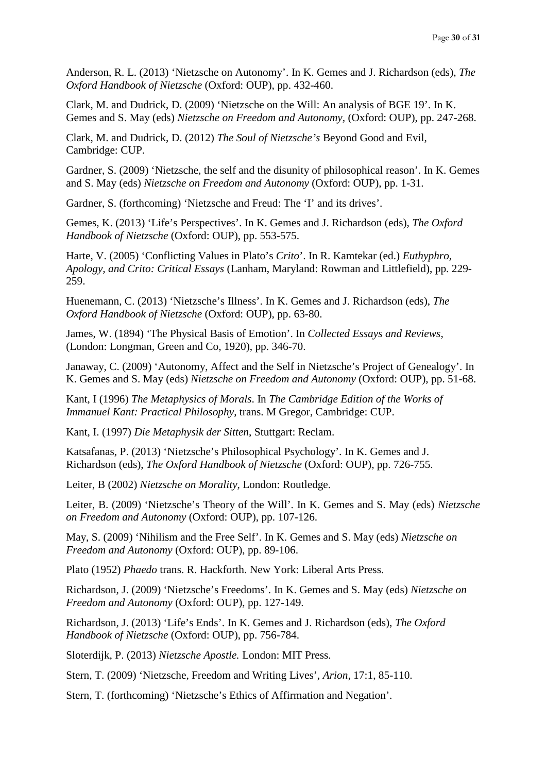Anderson, R. L. (2013) 'Nietzsche on Autonomy'. In K. Gemes and J. Richardson (eds), *The Oxford Handbook of Nietzsche* (Oxford: OUP), pp. 432-460.

Clark, M. and Dudrick, D. (2009) 'Nietzsche on the Will: An analysis of BGE 19'. In K. Gemes and S. May (eds) *Nietzsche on Freedom and Autonomy,* (Oxford: OUP), pp. 247-268.

Clark, M. and Dudrick, D. (2012) *The Soul of Nietzsche's* Beyond Good and Evil, Cambridge: CUP.

Gardner, S. (2009) 'Nietzsche, the self and the disunity of philosophical reason'. In K. Gemes and S. May (eds) *Nietzsche on Freedom and Autonomy* (Oxford: OUP), pp. 1-31.

Gardner, S. (forthcoming) 'Nietzsche and Freud: The 'I' and its drives'.

Gemes, K. (2013) 'Life's Perspectives'. In K. Gemes and J. Richardson (eds), *The Oxford Handbook of Nietzsche* (Oxford: OUP), pp. 553-575.

Harte, V. (2005) 'Conflicting Values in Plato's *Crito*'. In R. Kamtekar (ed.) *Euthyphro, Apology, and Crito: Critical Essays* (Lanham, Maryland: Rowman and Littlefield), pp. 229- 259.

Huenemann, C. (2013) 'Nietzsche's Illness'. In K. Gemes and J. Richardson (eds), *The Oxford Handbook of Nietzsche* (Oxford: OUP), pp. 63-80.

James, W. (1894) 'The Physical Basis of Emotion'. In *Collected Essays and Reviews*, (London: Longman, Green and Co, 1920), pp. 346-70.

Janaway, C. (2009) 'Autonomy, Affect and the Self in Nietzsche's Project of Genealogy'. In K. Gemes and S. May (eds) *Nietzsche on Freedom and Autonomy* (Oxford: OUP), pp. 51-68.

Kant, I (1996) *The Metaphysics of Morals*. In *The Cambridge Edition of the Works of Immanuel Kant: Practical Philosophy*, trans. M Gregor, Cambridge: CUP.

Kant, I. (1997) *Die Metaphysik der Sitten*, Stuttgart: Reclam.

Katsafanas, P. (2013) 'Nietzsche's Philosophical Psychology'. In K. Gemes and J. Richardson (eds), *The Oxford Handbook of Nietzsche* (Oxford: OUP), pp. 726-755.

Leiter, B (2002) *Nietzsche on Morality*, London: Routledge.

Leiter, B. (2009) 'Nietzsche's Theory of the Will'. In K. Gemes and S. May (eds) *Nietzsche on Freedom and Autonomy* (Oxford: OUP), pp. 107-126.

May, S. (2009) 'Nihilism and the Free Self'. In K. Gemes and S. May (eds) *Nietzsche on Freedom and Autonomy* (Oxford: OUP), pp. 89-106.

Plato (1952) *Phaedo* trans. R. Hackforth. New York: Liberal Arts Press.

Richardson, J. (2009) 'Nietzsche's Freedoms'. In K. Gemes and S. May (eds) *Nietzsche on Freedom and Autonomy* (Oxford: OUP), pp. 127-149.

Richardson, J. (2013) 'Life's Ends'. In K. Gemes and J. Richardson (eds), *The Oxford Handbook of Nietzsche* (Oxford: OUP), pp. 756-784.

Sloterdijk, P. (2013) *Nietzsche Apostle.* London: MIT Press.

Stern, T. (2009) 'Nietzsche, Freedom and Writing Lives', *Arion,* 17:1, 85-110.

Stern, T. (forthcoming) 'Nietzsche's Ethics of Affirmation and Negation'.